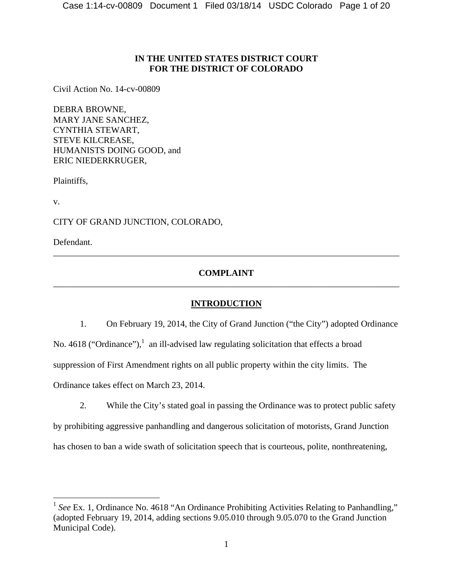# **IN THE UNITED STATES DISTRICT COURT FOR THE DISTRICT OF COLORADO**

Civil Action No. 14-cv-00809

DEBRA BROWNE, MARY JANE SANCHEZ, CYNTHIA STEWART, STEVE KILCREASE, HUMANISTS DOING GOOD, and ERIC NIEDERKRUGER,

Plaintiffs,

v.

 $\overline{a}$ 

CITY OF GRAND JUNCTION, COLORADO,

Defendant.

# **COMPLAINT**  \_\_\_\_\_\_\_\_\_\_\_\_\_\_\_\_\_\_\_\_\_\_\_\_\_\_\_\_\_\_\_\_\_\_\_\_\_\_\_\_\_\_\_\_\_\_\_\_\_\_\_\_\_\_\_\_\_\_\_\_\_\_\_\_\_\_\_\_\_\_\_\_\_\_\_\_\_\_

\_\_\_\_\_\_\_\_\_\_\_\_\_\_\_\_\_\_\_\_\_\_\_\_\_\_\_\_\_\_\_\_\_\_\_\_\_\_\_\_\_\_\_\_\_\_\_\_\_\_\_\_\_\_\_\_\_\_\_\_\_\_\_\_\_\_\_\_\_\_\_\_\_\_\_\_\_\_

# **INTRODUCTION**

1. On February 19, 2014, the City of Grand Junction ("the City") adopted Ordinance No. 4618 ("Ordinance"),  $\frac{1}{1}$  an ill-advised law regulating solicitation that effects a broad suppression of First Amendment rights on all public property within the city limits. The Ordinance takes effect on March 23, 2014.

2. While the City's stated goal in passing the Ordinance was to protect public safety by prohibiting aggressive panhandling and dangerous solicitation of motorists, Grand Junction has chosen to ban a wide swath of solicitation speech that is courteous, polite, nonthreatening,

<sup>&</sup>lt;sup>1</sup> See Ex. 1, Ordinance No. 4618 "An Ordinance Prohibiting Activities Relating to Panhandling," (adopted February 19, 2014, adding sections 9.05.010 through 9.05.070 to the Grand Junction Municipal Code).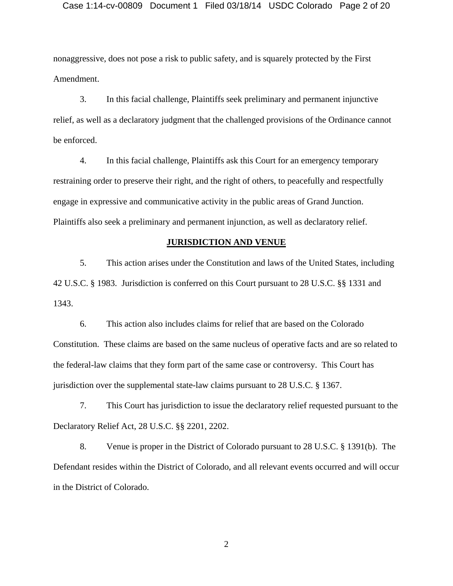### Case 1:14-cv-00809 Document 1 Filed 03/18/14 USDC Colorado Page 2 of 20

nonaggressive, does not pose a risk to public safety, and is squarely protected by the First Amendment.

3. In this facial challenge, Plaintiffs seek preliminary and permanent injunctive relief, as well as a declaratory judgment that the challenged provisions of the Ordinance cannot be enforced.

4. In this facial challenge, Plaintiffs ask this Court for an emergency temporary restraining order to preserve their right, and the right of others, to peacefully and respectfully engage in expressive and communicative activity in the public areas of Grand Junction. Plaintiffs also seek a preliminary and permanent injunction, as well as declaratory relief.

### **JURISDICTION AND VENUE**

5. This action arises under the Constitution and laws of the United States, including 42 U.S.C. § 1983. Jurisdiction is conferred on this Court pursuant to 28 U.S.C. §§ 1331 and 1343.

6. This action also includes claims for relief that are based on the Colorado Constitution. These claims are based on the same nucleus of operative facts and are so related to the federal-law claims that they form part of the same case or controversy. This Court has jurisdiction over the supplemental state-law claims pursuant to 28 U.S.C. § 1367.

7. This Court has jurisdiction to issue the declaratory relief requested pursuant to the Declaratory Relief Act, 28 U.S.C. §§ 2201, 2202.

8. Venue is proper in the District of Colorado pursuant to 28 U.S.C. § 1391(b). The Defendant resides within the District of Colorado, and all relevant events occurred and will occur in the District of Colorado.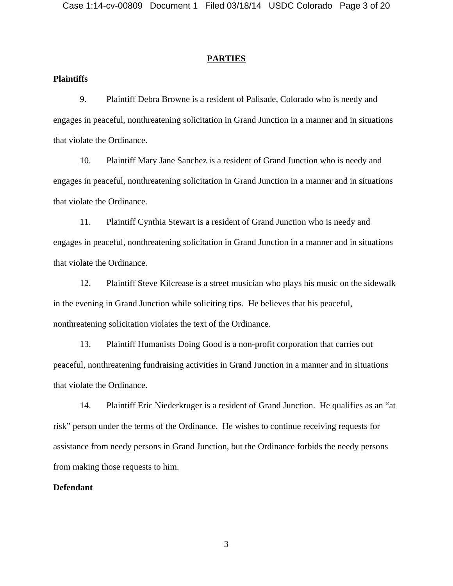### **PARTIES**

## **Plaintiffs**

9. Plaintiff Debra Browne is a resident of Palisade, Colorado who is needy and engages in peaceful, nonthreatening solicitation in Grand Junction in a manner and in situations that violate the Ordinance.

10. Plaintiff Mary Jane Sanchez is a resident of Grand Junction who is needy and engages in peaceful, nonthreatening solicitation in Grand Junction in a manner and in situations that violate the Ordinance.

11. Plaintiff Cynthia Stewart is a resident of Grand Junction who is needy and engages in peaceful, nonthreatening solicitation in Grand Junction in a manner and in situations that violate the Ordinance.

12. Plaintiff Steve Kilcrease is a street musician who plays his music on the sidewalk in the evening in Grand Junction while soliciting tips. He believes that his peaceful, nonthreatening solicitation violates the text of the Ordinance.

13. Plaintiff Humanists Doing Good is a non-profit corporation that carries out peaceful, nonthreatening fundraising activities in Grand Junction in a manner and in situations that violate the Ordinance.

14. Plaintiff Eric Niederkruger is a resident of Grand Junction. He qualifies as an "at risk" person under the terms of the Ordinance. He wishes to continue receiving requests for assistance from needy persons in Grand Junction, but the Ordinance forbids the needy persons from making those requests to him.

### **Defendant**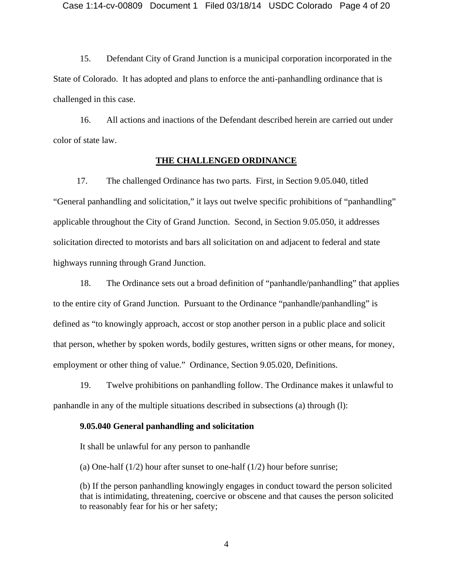15. Defendant City of Grand Junction is a municipal corporation incorporated in the State of Colorado. It has adopted and plans to enforce the anti-panhandling ordinance that is challenged in this case.

16. All actions and inactions of the Defendant described herein are carried out under color of state law.

### **THE CHALLENGED ORDINANCE**

17. The challenged Ordinance has two parts. First, in Section 9.05.040, titled "General panhandling and solicitation," it lays out twelve specific prohibitions of "panhandling" applicable throughout the City of Grand Junction. Second, in Section 9.05.050, it addresses solicitation directed to motorists and bars all solicitation on and adjacent to federal and state highways running through Grand Junction.

18. The Ordinance sets out a broad definition of "panhandle/panhandling" that applies to the entire city of Grand Junction. Pursuant to the Ordinance "panhandle/panhandling" is defined as "to knowingly approach, accost or stop another person in a public place and solicit that person, whether by spoken words, bodily gestures, written signs or other means, for money, employment or other thing of value." Ordinance, Section 9.05.020, Definitions.

19. Twelve prohibitions on panhandling follow. The Ordinance makes it unlawful to panhandle in any of the multiple situations described in subsections (a) through (l):

#### **9.05.040 General panhandling and solicitation**

It shall be unlawful for any person to panhandle

(a) One-half (1/2) hour after sunset to one-half (1/2) hour before sunrise;

(b) If the person panhandling knowingly engages in conduct toward the person solicited that is intimidating, threatening, coercive or obscene and that causes the person solicited to reasonably fear for his or her safety;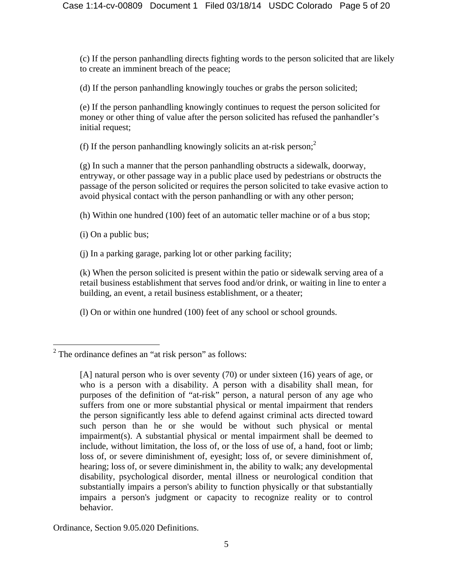(c) If the person panhandling directs fighting words to the person solicited that are likely to create an imminent breach of the peace;

(d) If the person panhandling knowingly touches or grabs the person solicited;

(e) If the person panhandling knowingly continues to request the person solicited for money or other thing of value after the person solicited has refused the panhandler's initial request;

(f) If the person panhandling knowingly solicits an at-risk person; $2$ 

(g) In such a manner that the person panhandling obstructs a sidewalk, doorway, entryway, or other passage way in a public place used by pedestrians or obstructs the passage of the person solicited or requires the person solicited to take evasive action to avoid physical contact with the person panhandling or with any other person;

(h) Within one hundred (100) feet of an automatic teller machine or of a bus stop;

(i) On a public bus;

(j) In a parking garage, parking lot or other parking facility;

(k) When the person solicited is present within the patio or sidewalk serving area of a retail business establishment that serves food and/or drink, or waiting in line to enter a building, an event, a retail business establishment, or a theater;

(l) On or within one hundred (100) feet of any school or school grounds.

Ordinance, Section 9.05.020 Definitions.

<sup>&</sup>lt;sup>2</sup> The ordinance defines an "at risk person" as follows:

<sup>[</sup>A] natural person who is over seventy (70) or under sixteen (16) years of age, or who is a person with a disability. A person with a disability shall mean, for purposes of the definition of "at-risk" person, a natural person of any age who suffers from one or more substantial physical or mental impairment that renders the person significantly less able to defend against criminal acts directed toward such person than he or she would be without such physical or mental impairment(s). A substantial physical or mental impairment shall be deemed to include, without limitation, the loss of, or the loss of use of, a hand, foot or limb; loss of, or severe diminishment of, eyesight; loss of, or severe diminishment of, hearing; loss of, or severe diminishment in, the ability to walk; any developmental disability, psychological disorder, mental illness or neurological condition that substantially impairs a person's ability to function physically or that substantially impairs a person's judgment or capacity to recognize reality or to control behavior.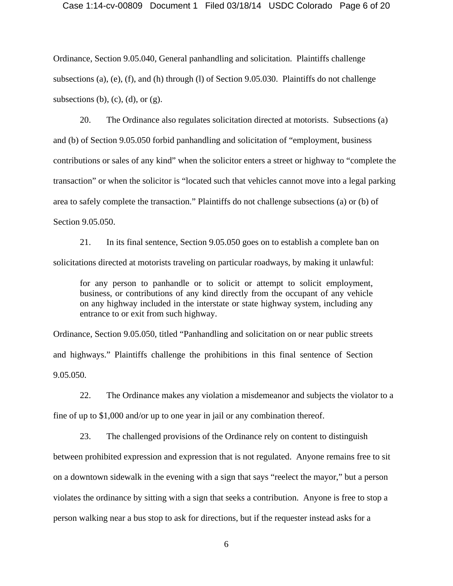#### Case 1:14-cv-00809 Document 1 Filed 03/18/14 USDC Colorado Page 6 of 20

Ordinance, Section 9.05.040, General panhandling and solicitation. Plaintiffs challenge subsections (a), (e), (f), and (h) through (l) of Section 9.05.030. Plaintiffs do not challenge subsections (b), (c), (d), or  $(g)$ .

20. The Ordinance also regulates solicitation directed at motorists. Subsections (a) and (b) of Section 9.05.050 forbid panhandling and solicitation of "employment, business contributions or sales of any kind" when the solicitor enters a street or highway to "complete the transaction" or when the solicitor is "located such that vehicles cannot move into a legal parking area to safely complete the transaction." Plaintiffs do not challenge subsections (a) or (b) of Section 9.05.050.

21. In its final sentence, Section 9.05.050 goes on to establish a complete ban on solicitations directed at motorists traveling on particular roadways, by making it unlawful:

for any person to panhandle or to solicit or attempt to solicit employment, business, or contributions of any kind directly from the occupant of any vehicle on any highway included in the interstate or state highway system, including any entrance to or exit from such highway.

Ordinance, Section 9.05.050, titled "Panhandling and solicitation on or near public streets and highways." Plaintiffs challenge the prohibitions in this final sentence of Section 9.05.050.

22. The Ordinance makes any violation a misdemeanor and subjects the violator to a

fine of up to \$1,000 and/or up to one year in jail or any combination thereof.

23. The challenged provisions of the Ordinance rely on content to distinguish

between prohibited expression and expression that is not regulated. Anyone remains free to sit on a downtown sidewalk in the evening with a sign that says "reelect the mayor," but a person violates the ordinance by sitting with a sign that seeks a contribution. Anyone is free to stop a person walking near a bus stop to ask for directions, but if the requester instead asks for a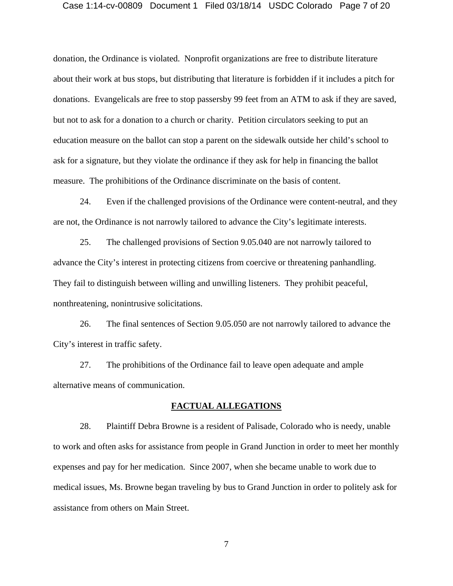### Case 1:14-cv-00809 Document 1 Filed 03/18/14 USDC Colorado Page 7 of 20

donation, the Ordinance is violated. Nonprofit organizations are free to distribute literature about their work at bus stops, but distributing that literature is forbidden if it includes a pitch for donations. Evangelicals are free to stop passersby 99 feet from an ATM to ask if they are saved, but not to ask for a donation to a church or charity. Petition circulators seeking to put an education measure on the ballot can stop a parent on the sidewalk outside her child's school to ask for a signature, but they violate the ordinance if they ask for help in financing the ballot measure. The prohibitions of the Ordinance discriminate on the basis of content.

24. Even if the challenged provisions of the Ordinance were content-neutral, and they are not, the Ordinance is not narrowly tailored to advance the City's legitimate interests.

25. The challenged provisions of Section 9.05.040 are not narrowly tailored to advance the City's interest in protecting citizens from coercive or threatening panhandling. They fail to distinguish between willing and unwilling listeners. They prohibit peaceful, nonthreatening, nonintrusive solicitations.

26. The final sentences of Section 9.05.050 are not narrowly tailored to advance the City's interest in traffic safety.

27. The prohibitions of the Ordinance fail to leave open adequate and ample alternative means of communication.

### **FACTUAL ALLEGATIONS**

28. Plaintiff Debra Browne is a resident of Palisade, Colorado who is needy, unable to work and often asks for assistance from people in Grand Junction in order to meet her monthly expenses and pay for her medication. Since 2007, when she became unable to work due to medical issues, Ms. Browne began traveling by bus to Grand Junction in order to politely ask for assistance from others on Main Street.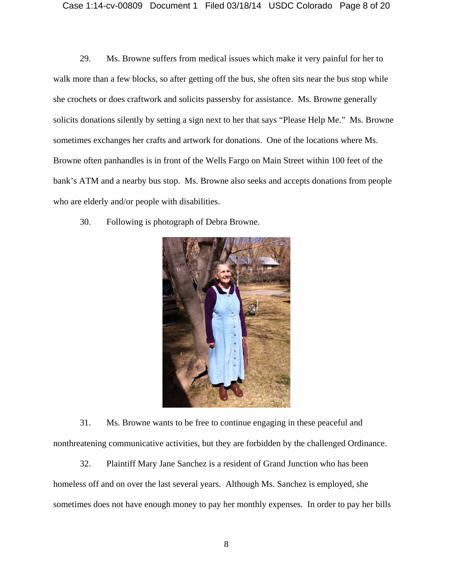29. Ms. Browne suffers from medical issues which make it very painful for her to walk more than a few blocks, so after getting off the bus, she often sits near the bus stop while she crochets or does craftwork and solicits passersby for assistance. Ms. Browne generally solicits donations silently by setting a sign next to her that says "Please Help Me." Ms. Browne sometimes exchanges her crafts and artwork for donations. One of the locations where Ms. Browne often panhandles is in front of the Wells Fargo on Main Street within 100 feet of the bank's ATM and a nearby bus stop. Ms. Browne also seeks and accepts donations from people who are elderly and/or people with disabilities.

30. Following is photograph of Debra Browne.



31. Ms. Browne wants to be free to continue engaging in these peaceful and nonthreatening communicative activities, but they are forbidden by the challenged Ordinance.

32. Plaintiff Mary Jane Sanchez is a resident of Grand Junction who has been homeless off and on over the last several years. Although Ms. Sanchez is employed, she sometimes does not have enough money to pay her monthly expenses. In order to pay her bills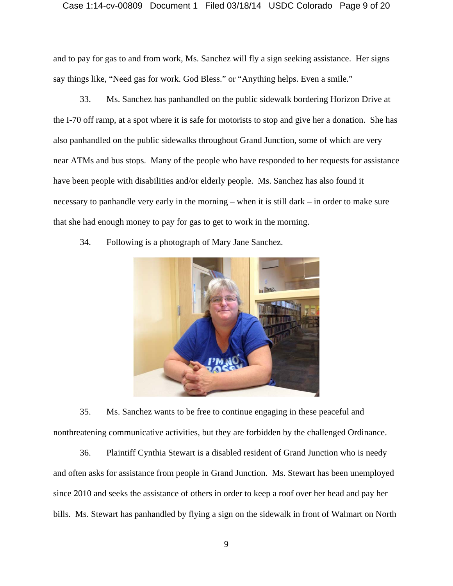### Case 1:14-cv-00809 Document 1 Filed 03/18/14 USDC Colorado Page 9 of 20

and to pay for gas to and from work, Ms. Sanchez will fly a sign seeking assistance. Her signs say things like, "Need gas for work. God Bless." or "Anything helps. Even a smile."

33. Ms. Sanchez has panhandled on the public sidewalk bordering Horizon Drive at the I-70 off ramp, at a spot where it is safe for motorists to stop and give her a donation. She has also panhandled on the public sidewalks throughout Grand Junction, some of which are very near ATMs and bus stops. Many of the people who have responded to her requests for assistance have been people with disabilities and/or elderly people. Ms. Sanchez has also found it necessary to panhandle very early in the morning – when it is still dark – in order to make sure that she had enough money to pay for gas to get to work in the morning.





35. Ms. Sanchez wants to be free to continue engaging in these peaceful and nonthreatening communicative activities, but they are forbidden by the challenged Ordinance.

36. Plaintiff Cynthia Stewart is a disabled resident of Grand Junction who is needy and often asks for assistance from people in Grand Junction. Ms. Stewart has been unemployed since 2010 and seeks the assistance of others in order to keep a roof over her head and pay her bills. Ms. Stewart has panhandled by flying a sign on the sidewalk in front of Walmart on North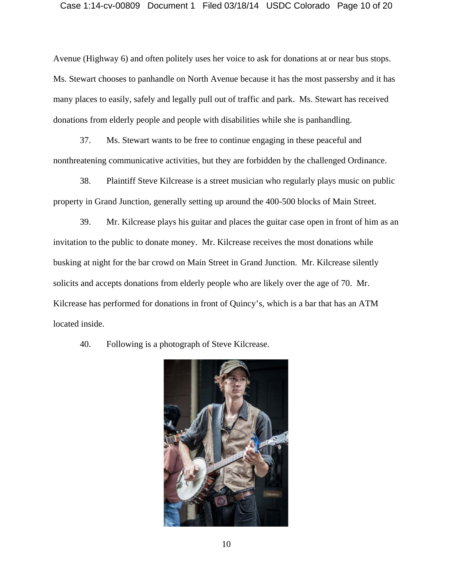# Case 1:14-cv-00809 Document 1 Filed 03/18/14 USDC Colorado Page 10 of 20

Avenue (Highway 6) and often politely uses her voice to ask for donations at or near bus stops. Ms. Stewart chooses to panhandle on North Avenue because it has the most passersby and it has many places to easily, safely and legally pull out of traffic and park. Ms. Stewart has received donations from elderly people and people with disabilities while she is panhandling.

37. Ms. Stewart wants to be free to continue engaging in these peaceful and nonthreatening communicative activities, but they are forbidden by the challenged Ordinance.

38. Plaintiff Steve Kilcrease is a street musician who regularly plays music on public property in Grand Junction, generally setting up around the 400-500 blocks of Main Street.

39. Mr. Kilcrease plays his guitar and places the guitar case open in front of him as an invitation to the public to donate money. Mr. Kilcrease receives the most donations while busking at night for the bar crowd on Main Street in Grand Junction. Mr. Kilcrease silently solicits and accepts donations from elderly people who are likely over the age of 70. Mr. Kilcrease has performed for donations in front of Quincy's, which is a bar that has an ATM located inside.



40. Following is a photograph of Steve Kilcrease.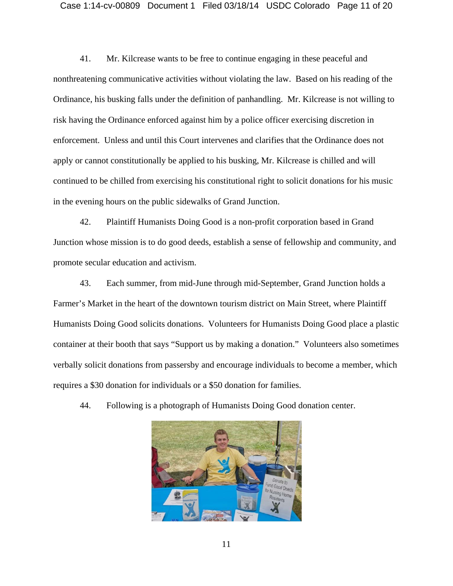# Case 1:14-cv-00809 Document 1 Filed 03/18/14 USDC Colorado Page 11 of 20

41. Mr. Kilcrease wants to be free to continue engaging in these peaceful and nonthreatening communicative activities without violating the law. Based on his reading of the Ordinance, his busking falls under the definition of panhandling. Mr. Kilcrease is not willing to risk having the Ordinance enforced against him by a police officer exercising discretion in enforcement. Unless and until this Court intervenes and clarifies that the Ordinance does not apply or cannot constitutionally be applied to his busking, Mr. Kilcrease is chilled and will continued to be chilled from exercising his constitutional right to solicit donations for his music in the evening hours on the public sidewalks of Grand Junction.

42. Plaintiff Humanists Doing Good is a non-profit corporation based in Grand Junction whose mission is to do good deeds, establish a sense of fellowship and community, and promote secular education and activism.

43. Each summer, from mid-June through mid-September, Grand Junction holds a Farmer's Market in the heart of the downtown tourism district on Main Street, where Plaintiff Humanists Doing Good solicits donations. Volunteers for Humanists Doing Good place a plastic container at their booth that says "Support us by making a donation." Volunteers also sometimes verbally solicit donations from passersby and encourage individuals to become a member, which requires a \$30 donation for individuals or a \$50 donation for families.

44. Following is a photograph of Humanists Doing Good donation center.

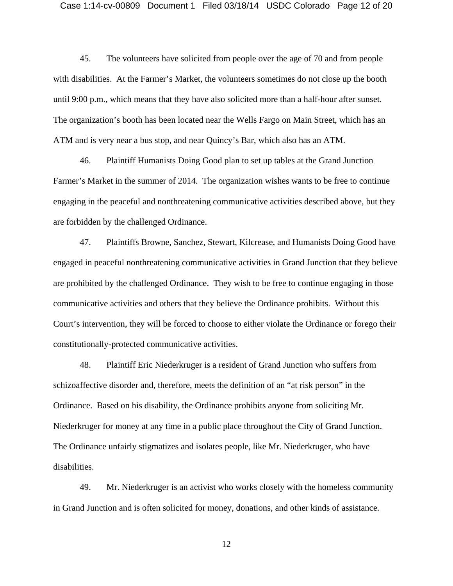### Case 1:14-cv-00809 Document 1 Filed 03/18/14 USDC Colorado Page 12 of 20

45. The volunteers have solicited from people over the age of 70 and from people with disabilities. At the Farmer's Market, the volunteers sometimes do not close up the booth until 9:00 p.m., which means that they have also solicited more than a half-hour after sunset. The organization's booth has been located near the Wells Fargo on Main Street, which has an ATM and is very near a bus stop, and near Quincy's Bar, which also has an ATM.

46. Plaintiff Humanists Doing Good plan to set up tables at the Grand Junction Farmer's Market in the summer of 2014. The organization wishes wants to be free to continue engaging in the peaceful and nonthreatening communicative activities described above, but they are forbidden by the challenged Ordinance.

47. Plaintiffs Browne, Sanchez, Stewart, Kilcrease, and Humanists Doing Good have engaged in peaceful nonthreatening communicative activities in Grand Junction that they believe are prohibited by the challenged Ordinance. They wish to be free to continue engaging in those communicative activities and others that they believe the Ordinance prohibits. Without this Court's intervention, they will be forced to choose to either violate the Ordinance or forego their constitutionally-protected communicative activities.

48. Plaintiff Eric Niederkruger is a resident of Grand Junction who suffers from schizoaffective disorder and, therefore, meets the definition of an "at risk person" in the Ordinance. Based on his disability, the Ordinance prohibits anyone from soliciting Mr. Niederkruger for money at any time in a public place throughout the City of Grand Junction. The Ordinance unfairly stigmatizes and isolates people, like Mr. Niederkruger, who have disabilities.

49. Mr. Niederkruger is an activist who works closely with the homeless community in Grand Junction and is often solicited for money, donations, and other kinds of assistance.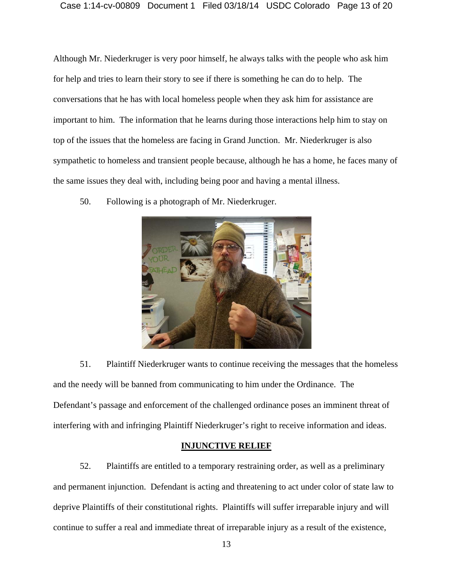### Case 1:14-cv-00809 Document 1 Filed 03/18/14 USDC Colorado Page 13 of 20

Although Mr. Niederkruger is very poor himself, he always talks with the people who ask him for help and tries to learn their story to see if there is something he can do to help. The conversations that he has with local homeless people when they ask him for assistance are important to him. The information that he learns during those interactions help him to stay on top of the issues that the homeless are facing in Grand Junction. Mr. Niederkruger is also sympathetic to homeless and transient people because, although he has a home, he faces many of the same issues they deal with, including being poor and having a mental illness.

50. Following is a photograph of Mr. Niederkruger.



51. Plaintiff Niederkruger wants to continue receiving the messages that the homeless and the needy will be banned from communicating to him under the Ordinance. The Defendant's passage and enforcement of the challenged ordinance poses an imminent threat of interfering with and infringing Plaintiff Niederkruger's right to receive information and ideas.

### **INJUNCTIVE RELIEF**

52. Plaintiffs are entitled to a temporary restraining order, as well as a preliminary and permanent injunction. Defendant is acting and threatening to act under color of state law to deprive Plaintiffs of their constitutional rights. Plaintiffs will suffer irreparable injury and will continue to suffer a real and immediate threat of irreparable injury as a result of the existence,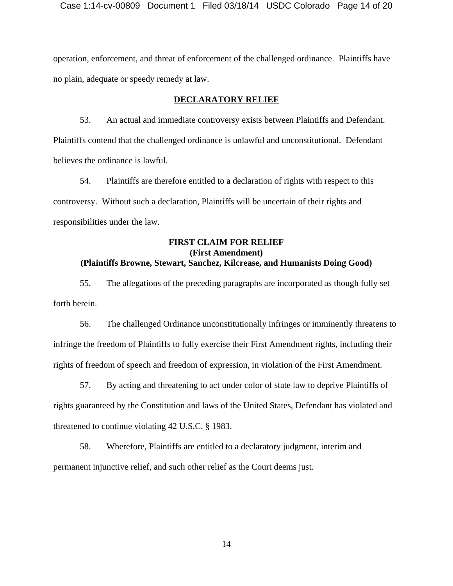operation, enforcement, and threat of enforcement of the challenged ordinance. Plaintiffs have no plain, adequate or speedy remedy at law.

### **DECLARATORY RELIEF**

53. An actual and immediate controversy exists between Plaintiffs and Defendant. Plaintiffs contend that the challenged ordinance is unlawful and unconstitutional. Defendant believes the ordinance is lawful.

54. Plaintiffs are therefore entitled to a declaration of rights with respect to this controversy. Without such a declaration, Plaintiffs will be uncertain of their rights and responsibilities under the law.

## **FIRST CLAIM FOR RELIEF (First Amendment) (Plaintiffs Browne, Stewart, Sanchez, Kilcrease, and Humanists Doing Good)**

55. The allegations of the preceding paragraphs are incorporated as though fully set forth herein.

56. The challenged Ordinance unconstitutionally infringes or imminently threatens to infringe the freedom of Plaintiffs to fully exercise their First Amendment rights, including their rights of freedom of speech and freedom of expression, in violation of the First Amendment.

57. By acting and threatening to act under color of state law to deprive Plaintiffs of rights guaranteed by the Constitution and laws of the United States, Defendant has violated and threatened to continue violating 42 U.S.C. § 1983.

58. Wherefore, Plaintiffs are entitled to a declaratory judgment, interim and permanent injunctive relief, and such other relief as the Court deems just.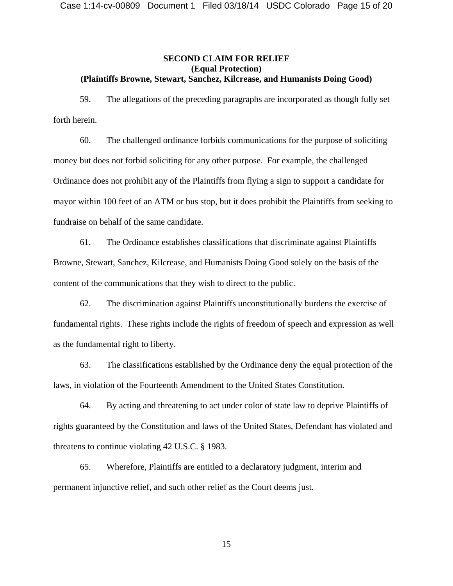### **SECOND CLAIM FOR RELIEF (Equal Protection) (Plaintiffs Browne, Stewart, Sanchez, Kilcrease, and Humanists Doing Good)**

59. The allegations of the preceding paragraphs are incorporated as though fully set forth herein.

60. The challenged ordinance forbids communications for the purpose of soliciting money but does not forbid soliciting for any other purpose. For example, the challenged Ordinance does not prohibit any of the Plaintiffs from flying a sign to support a candidate for mayor within 100 feet of an ATM or bus stop, but it does prohibit the Plaintiffs from seeking to fundraise on behalf of the same candidate.

61. The Ordinance establishes classifications that discriminate against Plaintiffs Browne, Stewart, Sanchez, Kilcrease, and Humanists Doing Good solely on the basis of the content of the communications that they wish to direct to the public.

62. The discrimination against Plaintiffs unconstitutionally burdens the exercise of fundamental rights. These rights include the rights of freedom of speech and expression as well as the fundamental right to liberty.

63. The classifications established by the Ordinance deny the equal protection of the laws, in violation of the Fourteenth Amendment to the United States Constitution.

64. By acting and threatening to act under color of state law to deprive Plaintiffs of rights guaranteed by the Constitution and laws of the United States, Defendant has violated and threatens to continue violating 42 U.S.C. § 1983.

65. Wherefore, Plaintiffs are entitled to a declaratory judgment, interim and permanent injunctive relief, and such other relief as the Court deems just.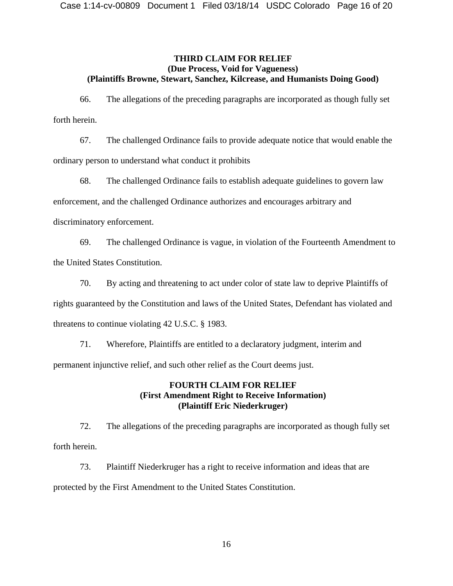## **THIRD CLAIM FOR RELIEF (Due Process, Void for Vagueness) (Plaintiffs Browne, Stewart, Sanchez, Kilcrease, and Humanists Doing Good)**

66. The allegations of the preceding paragraphs are incorporated as though fully set forth herein.

67. The challenged Ordinance fails to provide adequate notice that would enable the ordinary person to understand what conduct it prohibits

68. The challenged Ordinance fails to establish adequate guidelines to govern law enforcement, and the challenged Ordinance authorizes and encourages arbitrary and discriminatory enforcement.

69. The challenged Ordinance is vague, in violation of the Fourteenth Amendment to the United States Constitution.

70. By acting and threatening to act under color of state law to deprive Plaintiffs of

rights guaranteed by the Constitution and laws of the United States, Defendant has violated and

threatens to continue violating 42 U.S.C. § 1983.

71. Wherefore, Plaintiffs are entitled to a declaratory judgment, interim and permanent injunctive relief, and such other relief as the Court deems just.

# **FOURTH CLAIM FOR RELIEF (First Amendment Right to Receive Information) (Plaintiff Eric Niederkruger)**

72. The allegations of the preceding paragraphs are incorporated as though fully set forth herein.

73. Plaintiff Niederkruger has a right to receive information and ideas that are protected by the First Amendment to the United States Constitution.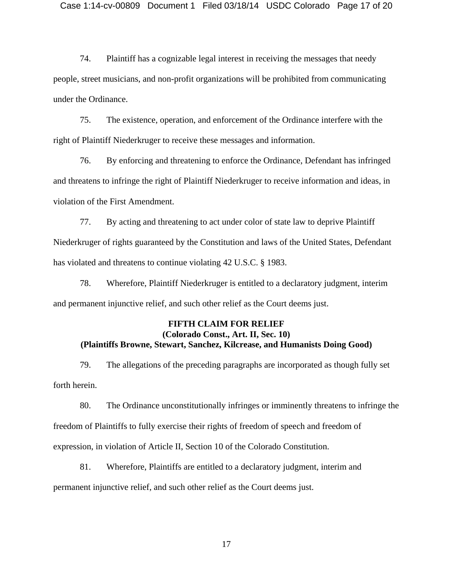74. Plaintiff has a cognizable legal interest in receiving the messages that needy people, street musicians, and non-profit organizations will be prohibited from communicating under the Ordinance.

75. The existence, operation, and enforcement of the Ordinance interfere with the right of Plaintiff Niederkruger to receive these messages and information.

76. By enforcing and threatening to enforce the Ordinance, Defendant has infringed and threatens to infringe the right of Plaintiff Niederkruger to receive information and ideas, in violation of the First Amendment.

77. By acting and threatening to act under color of state law to deprive Plaintiff Niederkruger of rights guaranteed by the Constitution and laws of the United States, Defendant has violated and threatens to continue violating 42 U.S.C. § 1983.

78. Wherefore, Plaintiff Niederkruger is entitled to a declaratory judgment, interim and permanent injunctive relief, and such other relief as the Court deems just.

# **FIFTH CLAIM FOR RELIEF (Colorado Const., Art. II, Sec. 10) (Plaintiffs Browne, Stewart, Sanchez, Kilcrease, and Humanists Doing Good)**

79. The allegations of the preceding paragraphs are incorporated as though fully set forth herein.

80. The Ordinance unconstitutionally infringes or imminently threatens to infringe the freedom of Plaintiffs to fully exercise their rights of freedom of speech and freedom of expression, in violation of Article II, Section 10 of the Colorado Constitution.

81. Wherefore, Plaintiffs are entitled to a declaratory judgment, interim and permanent injunctive relief, and such other relief as the Court deems just.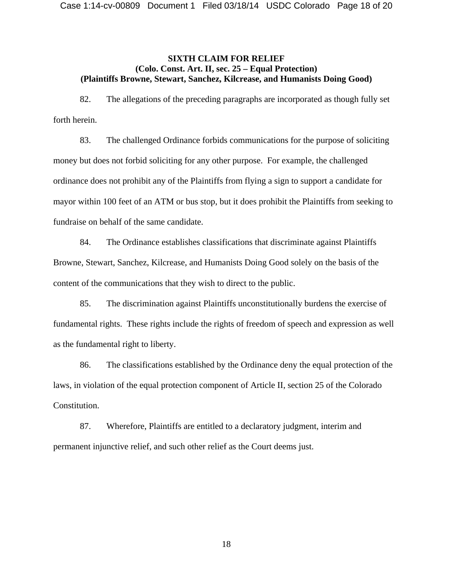## **SIXTH CLAIM FOR RELIEF (Colo. Const. Art. II, sec. 25 – Equal Protection) (Plaintiffs Browne, Stewart, Sanchez, Kilcrease, and Humanists Doing Good)**

82. The allegations of the preceding paragraphs are incorporated as though fully set forth herein.

83. The challenged Ordinance forbids communications for the purpose of soliciting money but does not forbid soliciting for any other purpose. For example, the challenged ordinance does not prohibit any of the Plaintiffs from flying a sign to support a candidate for mayor within 100 feet of an ATM or bus stop, but it does prohibit the Plaintiffs from seeking to fundraise on behalf of the same candidate.

84. The Ordinance establishes classifications that discriminate against Plaintiffs Browne, Stewart, Sanchez, Kilcrease, and Humanists Doing Good solely on the basis of the content of the communications that they wish to direct to the public.

85. The discrimination against Plaintiffs unconstitutionally burdens the exercise of fundamental rights. These rights include the rights of freedom of speech and expression as well as the fundamental right to liberty.

86. The classifications established by the Ordinance deny the equal protection of the laws, in violation of the equal protection component of Article II, section 25 of the Colorado Constitution.

87. Wherefore, Plaintiffs are entitled to a declaratory judgment, interim and permanent injunctive relief, and such other relief as the Court deems just.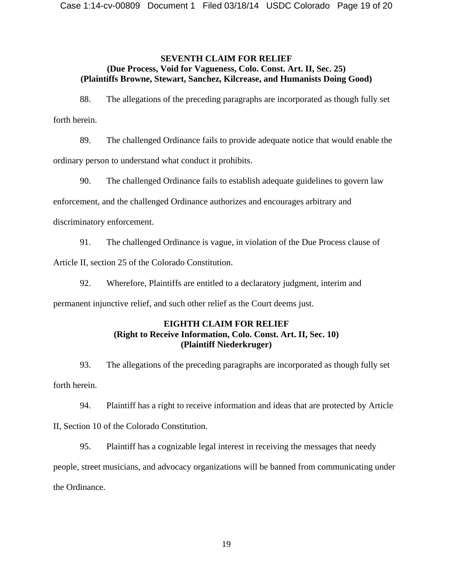## **SEVENTH CLAIM FOR RELIEF (Due Process, Void for Vagueness, Colo. Const. Art. II, Sec. 25) (Plaintiffs Browne, Stewart, Sanchez, Kilcrease, and Humanists Doing Good)**

88. The allegations of the preceding paragraphs are incorporated as though fully set forth herein.

89. The challenged Ordinance fails to provide adequate notice that would enable the ordinary person to understand what conduct it prohibits.

90. The challenged Ordinance fails to establish adequate guidelines to govern law enforcement, and the challenged Ordinance authorizes and encourages arbitrary and discriminatory enforcement.

91. The challenged Ordinance is vague, in violation of the Due Process clause of Article II, section 25 of the Colorado Constitution.

92. Wherefore, Plaintiffs are entitled to a declaratory judgment, interim and permanent injunctive relief, and such other relief as the Court deems just.

# **EIGHTH CLAIM FOR RELIEF (Right to Receive Information, Colo. Const. Art. II, Sec. 10) (Plaintiff Niederkruger)**

93. The allegations of the preceding paragraphs are incorporated as though fully set forth herein.

94. Plaintiff has a right to receive information and ideas that are protected by Article

II, Section 10 of the Colorado Constitution.

95. Plaintiff has a cognizable legal interest in receiving the messages that needy

people, street musicians, and advocacy organizations will be banned from communicating under the Ordinance.